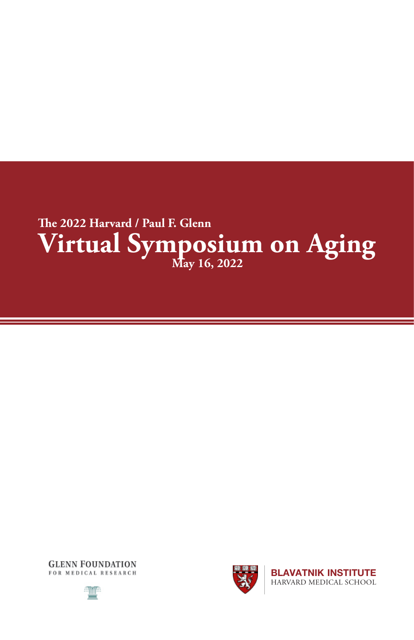





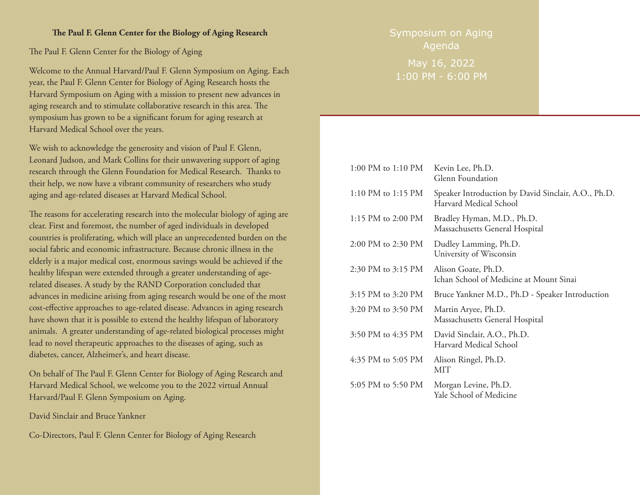## **The Paul F. Glenn Center for the Biology of Aging Research**

The Paul F. Glenn Center for the Biology of Aging

Welcome to the Annual Harvard/Paul F. Glenn Symposium on Aging. Each year, the Paul F. Glenn Center for Biology of Aging Research hosts the Harvard Symposium on Aging with a mission to present new advances in aging research and to stimulate collaborative research in this area. The symposium has grown to be a significant forum for aging research at Harvard Medical School over the years.

We wish to acknowledge the generosity and vision of Paul F. Glenn, Leonard Judson, and Mark Collins for their unwavering support of aging research through the Glenn Foundation for Medical Research. Thanks to their help, we now have a vibrant community of researchers who study aging and age-related diseases at Harvard Medical School.

The reasons for accelerating research into the molecular biology of aging are clear. First and foremost, the number of aged individuals in developed countries is proliferating, which will place an unprecedented burden on the social fabric and economic infrastructure. Because chronic illness in the elderly is a major medical cost, enormous savings would be achieved if the healthy lifespan were extended through a greater understanding of agerelated diseases. A study by the RAND Corporation concluded that advances in medicine arising from aging research would be one of the most cost-effective approaches to age-related disease. Advances in aging research have shown that it is possible to extend the healthy lifespan of laboratory animals. A greater understanding of age-related biological processes might lead to novel therapeutic approaches to the diseases of aging, such as diabetes, cancer, Alzheimer's, and heart disease.

On behalf of The Paul F. Glenn Center for Biology of Aging Research and Harvard Medical School, we welcome you to the 2022 virtual Annual Harvard/Paul F. Glenn Symposium on Aging.

David Sinclair and Bruce Yankner

Co-Directors, Paul F. Glenn Center for Biology of Aging Research

Symposium on Aging Agenda

May 16, 2022 1:00 PM - 6:00 PM

 $1.00 \text{pM}$  to  $10 \text{pM}$   $\text{m}$   $\text{m}$ 

| 1:00 PM to 1:10 PM | Kevin Lee, Ph.D.<br>Glenn Foundation                                          |
|--------------------|-------------------------------------------------------------------------------|
| 1:10 PM to 1:15 PM | Speaker Introduction by David Sinclair, A.O., Ph.D.<br>Harvard Medical School |
| 1:15 PM to 2:00 PM | Bradley Hyman, M.D., Ph.D.<br>Massachusetts General Hospital                  |
| 2:00 PM to 2:30 PM | Dudley Lamming, Ph.D.<br>University of Wisconsin                              |
| 2:30 PM to 3:15 PM | Alison Goate, Ph.D.<br>Ichan School of Medicine at Mount Sinai                |
| 3:15 PM to 3:20 PM | Bruce Yankner M.D., Ph.D - Speaker Introduction                               |
| 3:20 PM to 3:50 PM | Martin Aryee, Ph.D.<br>Massachusetts General Hospital                         |
| 3:50 PM to 4:35 PM | David Sinclair, A.O., Ph.D.<br>Harvard Medical School                         |
| 4:35 PM to 5:05 PM | Alison Ringel, Ph.D.<br>MIT                                                   |
| 5:05 PM to 5:50 PM | Morgan Levine, Ph.D.<br>Yale School of Medicine                               |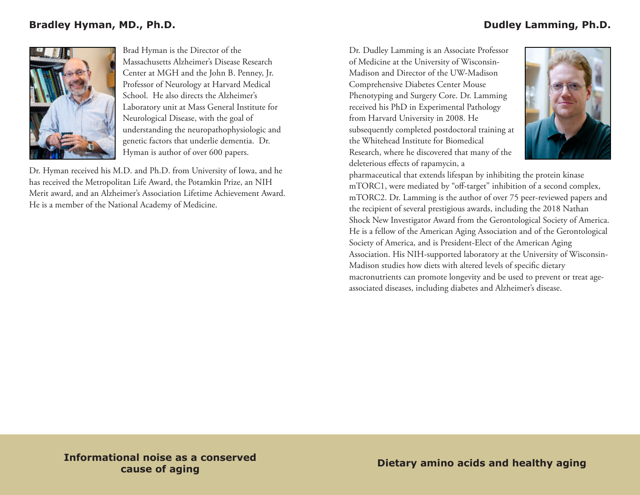

Brad Hyman is the Director of the Massachusetts Alzheimer's Disease Research Center at MGH and the John B. Penney, Jr. Professor of Neurology at Harvard Medical School. He also directs the Alzheimer's Laboratory unit at Mass General Institute for Neurological Disease, with the goal of understanding the neuropathophysiologic and genetic factors that underlie dementia. Dr. Hyman is author of over 600 papers.

Dr. Hyman received his M.D. and Ph.D. from University of Iowa, and he has received the Metropolitan Life Award, the Potamkin Prize, an NIH Merit award, and an Alzheimer's Association Lifetime Achievement Award. He is a member of the National Academy of Medicine.

Dr. Dudley Lamming is an Associate Professor of Medicine at the University of Wisconsin-Madison and Director of the UW-Madison Comprehensive Diabetes Center Mouse Phenotyping and Surgery Core. Dr. Lamming received his PhD in Experimental Pathology from Harvard University in 2008. He subsequently completed postdoctoral training at the Whitehead Institute for Biomedical Research, where he discovered that many of the deleterious effects of rapamycin, a



pharmaceutical that extends lifespan by inhibiting the protein kinase mTORC1, were mediated by "off-target" inhibition of a second complex, mTORC2. Dr. Lamming is the author of over 75 peer-reviewed papers and the recipient of several prestigious awards, including the 2018 Nathan Shock New Investigator Award from the Gerontological Society of America. He is a fellow of the American Aging Association and of the Gerontological Society of America, and is President-Elect of the American Aging Association. His NIH-supported laboratory at the University of Wisconsin-Madison studies how diets with altered levels of specific dietary macronutrients can promote longevity and be used to prevent or treat ageassociated diseases, including diabetes and Alzheimer's disease.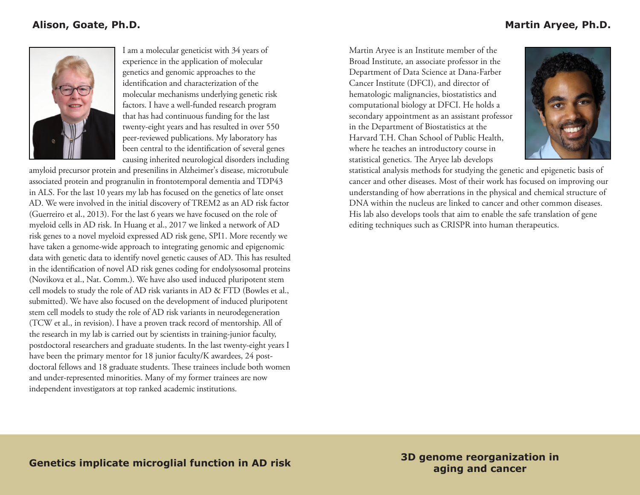## **Alison, Goate, Ph.D.**



I am a molecular geneticist with 34 years of experience in the application of molecular genetics and genomic approaches to the identification and characterization of the molecular mechanisms underlying genetic risk factors. I have a well-funded research program that has had continuous funding for the last twenty-eight years and has resulted in over 550 peer-reviewed publications. My laboratory has been central to the identification of several genes causing inherited neurological disorders including

amyloid precursor protein and presenilins in Alzheimer's disease, microtubule associated protein and progranulin in frontotemporal dementia and TDP43 in ALS. For the last 10 years my lab has focused on the genetics of late onset AD. We were involved in the initial discovery of TREM2 as an AD risk factor (Guerreiro et al., 2013). For the last 6 years we have focused on the role of myeloid cells in AD risk. In Huang et al., 2017 we linked a network of AD risk genes to a novel myeloid expressed AD risk gene, SPI1. More recently we have taken a genome-wide approach to integrating genomic and epigenomic data with genetic data to identify novel genetic causes of AD. This has resulted in the identification of novel AD risk genes coding for endolysosomal proteins (Novikova et al., Nat. Comm.). We have also used induced pluripotent stem cell models to study the role of AD risk variants in AD & FTD (Bowles et al., submitted). We have also focused on the development of induced pluripotent stem cell models to study the role of AD risk variants in neurodegeneration (TCW et al., in revision). I have a proven track record of mentorship. All of the research in my lab is carried out by scientists in training-junior faculty, postdoctoral researchers and graduate students. In the last twenty-eight years I have been the primary mentor for 18 junior faculty/K awardees, 24 postdoctoral fellows and 18 graduate students. These trainees include both women and under-represented minorities. Many of my former trainees are now independent investigators at top ranked academic institutions.

Martin Aryee is an Institute member of the Broad Institute, an associate professor in the Department of Data Science at Dana-Farber Cancer Institute (DFCI), and director of hematologic malignancies, biostatistics and computational biology at DFCI. He holds a secondary appointment as an assistant professor in the Department of Biostatistics at the Harvard T.H. Chan School of Public Health, where he teaches an introductory course in statistical genetics. The Aryee lab develops



statistical analysis methods for studying the genetic and epigenetic basis of cancer and other diseases. Most of their work has focused on improving our understanding of how aberrations in the physical and chemical structure of DNA within the nucleus are linked to cancer and other common diseases. His lab also develops tools that aim to enable the safe translation of gene editing techniques such as CRISPR into human therapeutics.

**aging and cancer**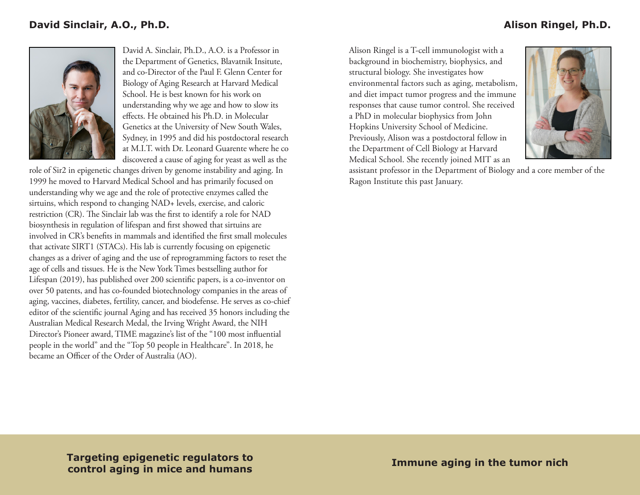

David A. Sinclair, Ph.D., A.O. is a Professor in the Department of Genetics, Blavatnik Insitute, and co-Director of the Paul F. Glenn Center for Biology of Aging Research at Harvard Medical School. He is best known for his work on understanding why we age and how to slow its effects. He obtained his Ph.D. in Molecular Genetics at the University of New South Wales, Sydney, in 1995 and did his postdoctoral research at M.I.T. with Dr. Leonard Guarente where he co discovered a cause of aging for yeast as well as the

role of Sir2 in epigenetic changes driven by genome instability and aging. In 1999 he moved to Harvard Medical School and has primarily focused on understanding why we age and the role of protective enzymes called the sirtuins, which respond to changing NAD+ levels, exercise, and caloric restriction (CR). The Sinclair lab was the first to identify a role for NAD biosynthesis in regulation of lifespan and first showed that sirtuins are involved in CR's benefits in mammals and identified the first small molecules that activate SIRT1 (STACs). His lab is currently focusing on epigenetic changes as a driver of aging and the use of reprogramming factors to reset the age of cells and tissues. He is the New York Times bestselling author for Lifespan (2019), has published over 200 scientific papers, is a co-inventor on over 50 patents, and has co-founded biotechnology companies in the areas of aging, vaccines, diabetes, fertility, cancer, and biodefense. He serves as co-chief editor of the scientific journal Aging and has received 35 honors including the Australian Medical Research Medal, the Irving Wright Award, the NIH Director's Pioneer award, TIME magazine's list of the "100 most influential people in the world" and the "Top 50 people in Healthcare". In 2018, he became an Officer of the Order of Australia (AO).

Alison Ringel is a T-cell immunologist with a background in biochemistry, biophysics, and structural biology. She investigates how environmental factors such as aging, metabolism, and diet impact tumor progress and the immune responses that cause tumor control. She received a PhD in molecular biophysics from John Hopkins University School of Medicine. Previously, Alison was a postdoctoral fellow in the Department of Cell Biology at Harvard Medical School. She recently joined MIT as an



assistant professor in the Department of Biology and a core member of the Ragon Institute this past January.